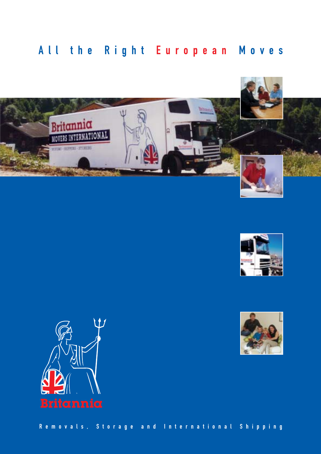## All the Right European Moves









Removals, Storage and International Shipping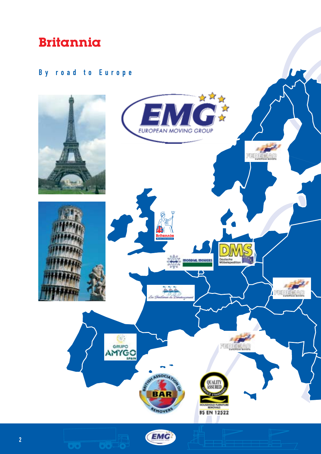### By road to Europe

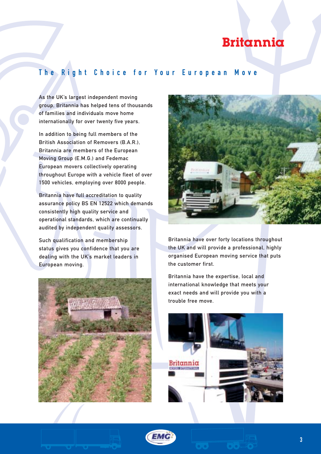### The Right Choice for Your European Move

As the UK's largest independent moving group, Britannia has helped tens of thousands of families and individuals move home internationally for over twenty five years.

In addition to being full members of the British Association of Removers (B.A.R.), Britannia are members of the European Moving Group (E.M.G.) and Fedemac European movers collectively operating throughout Europe with a vehicle fleet of over 1500 vehicles, employing over 8000 people.

Britannia have full accreditation to quality assurance policy BS EN 12522 which demands consistently high quality service and operational standards, which are continually audited by independent quality assessors.

Such qualification and membership status gives you confidence that you are dealing with the UK's market leaders in European moving.





Britannia have over forty locations throughout the UK and will provide a professional, highly organised European moving service that puts the customer first.

Britannia have the expertise, local and international knowledge that meets your exact needs and will provide you with a trouble free move.



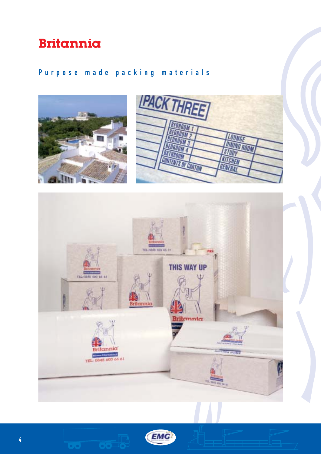### Purpose made packing materials







**CONTROLL**O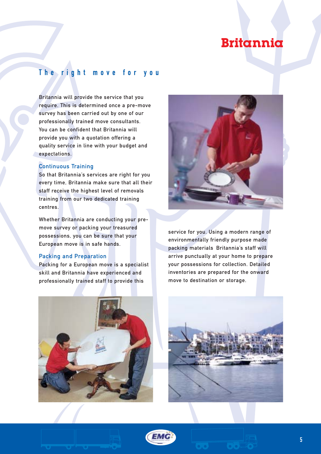### The right move for you

Britannia will provide the service that you require. This is determined once a pre-move survey has been carried out by one of our professionally trained move consultants. You can be confident that Britannia will provide you with a quotation offering a quality service in line with your budget and expectations.

#### Continuous Training

So that Britannia's services are right for you every time, Britannia make sure that all their staff receive the highest level of removals training from our two dedicated training centres.

Whether Britannia are conducting your premove survey or packing your treasured possessions, you can be sure that your European move is in safe hands.

#### Packing and Preparation

Packing for a European move is a specialist skill and Britannia have experienced and professionally trained staff to provide this



service for you. Using a modern range of environmentally friendly purpose made packing materials Britannia's staff will arrive punctually at your home to prepare your possessions for collection. Detailed inventories are prepared for the onward move to destination or storage.







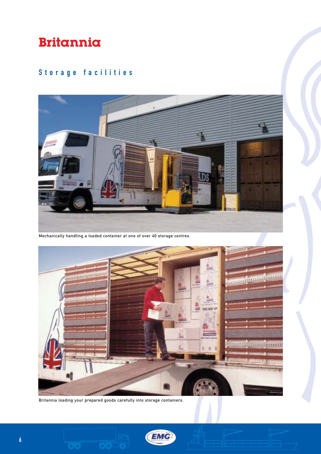### Storage facilities



Mechanically handling a loaded container at one of over 40 storage centres.



Britannia loading your prepared goods carefully into storage containers.

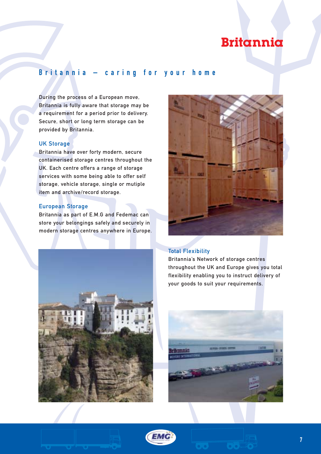### Britannia – caring for your home

During the process of a European move, Britannia is fully aware that storage may be a requirement for a period prior to delivery. Secure, short or long term storage can be provided by Britannia.

#### UK Storage

Britannia have over forty modern, secure containerised storage centres throughout the UK. Each centre offers a range of storage services with some being able to offer self storage, vehicle storage, single or mutiple item and archive/record storage.

#### European Storage

Britannia as part of E.M.G and Fedemac can store your belongings safely and securely in modern storage centres anywhere in Europe.



#### Total Flexibility

Britannia's Network of storage centres throughout the UK and Europe gives you total flexibility enabling you to instruct delivery of your goods to suit your requirements.





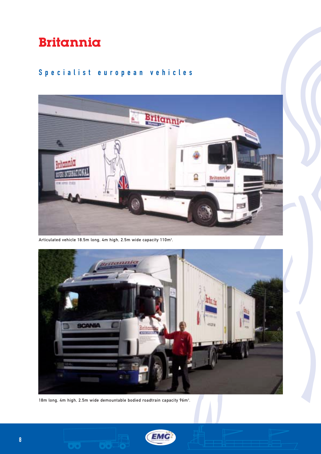### Specialist european vehicles



Articulated vehicle 18.5m long, 4m high, 2.5m wide capacity 110m $^{\rm 3}$ .



18m long, 4m high, 2.5m wide demountable bodied roadtrain capacity 96m<sup>3</sup>.

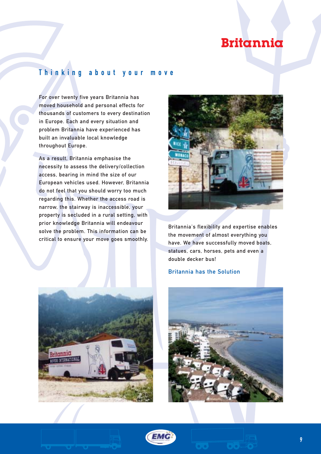### Thinking about your move

For over twenty five years Britannia has moved household and personal effects for thousands of customers to every destination in Europe. Each and every situation and problem Britannia have experienced has built an invaluable local knowledge throughout Europe.

As a result, Britannia emphasise the necessity to assess the delivery/collection access, bearing in mind the size of our European vehicles used. However, Britannia do not feel that you should worry too much regarding this. Whether the access road is narrow, the stairway is inaccessible, your property is secluded in a rural setting, with prior knowledge Britannia will endeavour solve the problem. This information can be critical to ensure your move goes smoothly.



Britannia's flexibility and expertise enables the movement of almost everything you have. We have successfully moved boats, statues, cars, horses, pets and even a double decker bus!

#### Britannia has the Solution





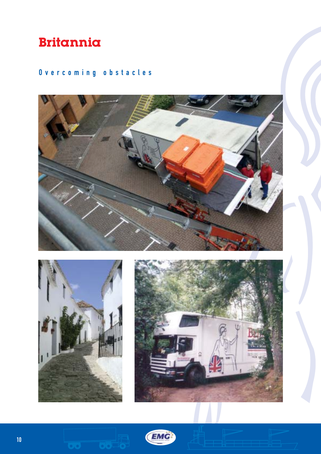### Overcoming obstacles





 $\{ \bullet, \bullet \}$ 



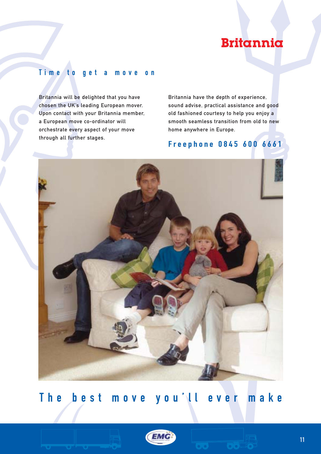### T ime to get a move on

Britannia will be delighted that you have chosen the UK's leading European mover. Upon contact with your Britannia member, a European move co-ordinator will orchestrate every aspect of your move through all further stages.

Britannia have the depth of experience, sound advise, practical assistance and good old fashioned courtesy to help you enjoy a smooth seamless transition from old to new home anywhere in Europe.

### Freephone 0845 600 6661



## The best move you'll ever make